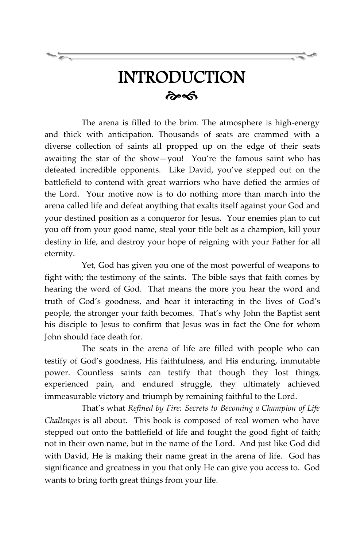## INTRODUCTION  $\hat{\sigma}$

The arena is filled to the brim. The atmosphere is high-energy and thick with anticipation. Thousands of seats are crammed with a diverse collection of saints all propped up on the edge of their seats awaiting the star of the show—you! You're the famous saint who has defeated incredible opponents. Like David, you've stepped out on the battlefield to contend with great warriors who have defied the armies of the Lord. Your motive now is to do nothing more than march into the arena called life and defeat anything that exalts itself against your God and your destined position as a conqueror for Jesus. Your enemies plan to cut you off from your good name, steal your title belt as a champion, kill your destiny in life, and destroy your hope of reigning with your Father for all eternity.

Yet, God has given you one of the most powerful of weapons to fight with; the testimony of the saints. The bible says that faith comes by hearing the word of God. That means the more you hear the word and truth of God's goodness, and hear it interacting in the lives of God's people, the stronger your faith becomes. That's why John the Baptist sent his disciple to Jesus to confirm that Jesus was in fact the One for whom John should face death for.

The seats in the arena of life are filled with people who can testify of God's goodness, His faithfulness, and His enduring, immutable power. Countless saints can testify that though they lost things, experienced pain, and endured struggle, they ultimately achieved immeasurable victory and triumph by remaining faithful to the Lord.

That's what *Refined by Fire: Secrets to Becoming a Champion of Life Challenges* is all about. This book is composed of real women who have stepped out onto the battlefield of life and fought the good fight of faith; not in their own name, but in the name of the Lord. And just like God did with David, He is making their name great in the arena of life. God has significance and greatness in you that only He can give you access to. God wants to bring forth great things from your life.